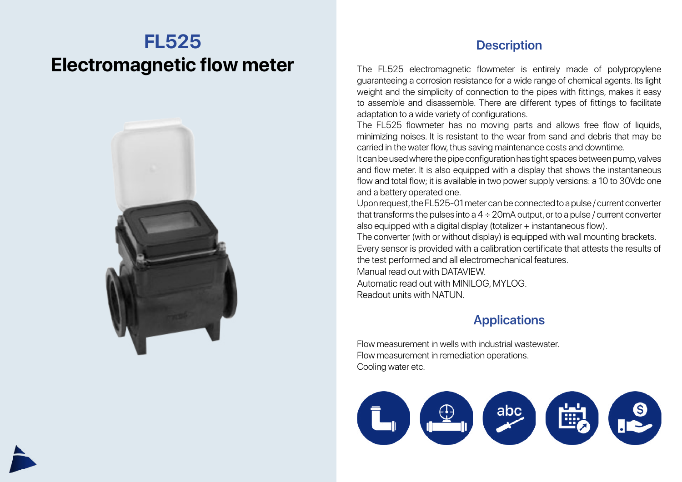## **FL525 Electromagnetic flow meter**



## **Description**

The FL525 electromagnetic flowmeter is entirely made of polypropylene guaranteeing a corrosion resistance for a wide range of chemical agents. Its light weight and the simplicity of connection to the pipes with fittings, makes it easy to assemble and disassemble. There are different types of fittings to facilitate adaptation to a wide variety of configurations.

The FL525 flowmeter has no moving parts and allows free flow of liquids, minimizing noises. It is resistant to the wear from sand and debris that may be carried in the water flow, thus saving maintenance costs and downtime.

It can be used where the pipe configuration has tight spaces between pump, valves and flow meter. It is also equipped with a display that shows the instantaneous flow and total flow; it is available in two power supply versions: a 10 to 30Vdc one and a battery operated one.

Upon request, the FL525-01 meter can be connected to a pulse / current converter that transforms the pulses into a  $4 \div 20$  mA output, or to a pulse / current converter also equipped with a digital display (totalizer + instantaneous flow).

The converter (with or without display) is equipped with wall mounting brackets. Every sensor is provided with a calibration certificate that attests the results of the test performed and all electromechanical features.

Manual read out with DATAVIEW. Automatic read out with MINILOG, MYLOG. Readout units with NATUN.

## **Applications**

Flow measurement in wells with industrial wastewater. Flow measurement in remediation operations. Cooling water etc.